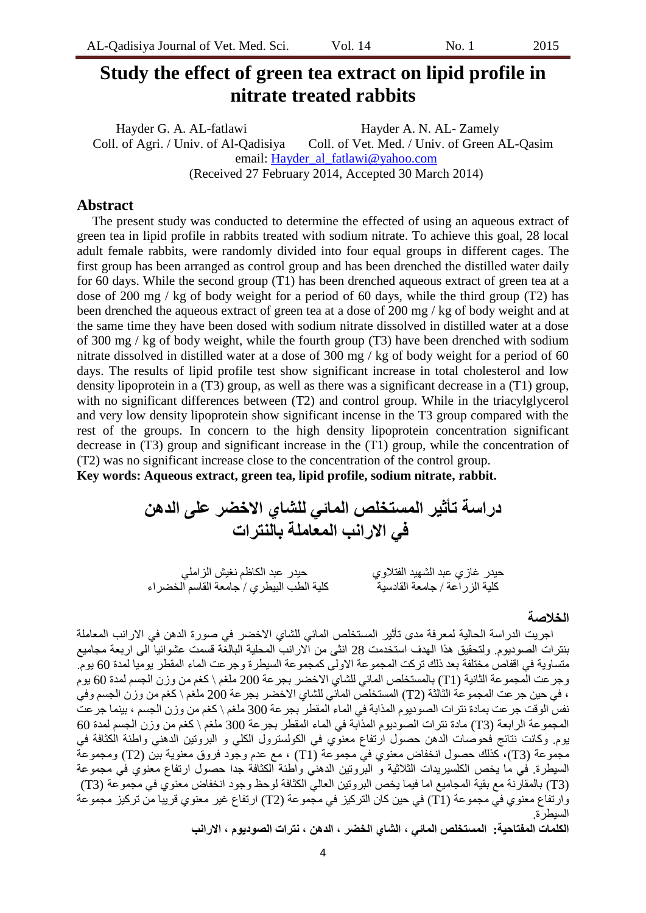# **Study the effect of green tea extract on lipid profile in nitrate treated rabbits**

Hayder G. A. AL-fatlawi Hayder A. N. AL-Zamely Coll. of Agri. / Univ. of Al-Qadisiya Coll. of Vet. Med. / Univ. of Green AL-Qasim email: [Hayder\\_al\\_fatlawi@yahoo.com](mailto:Hayder_al_fatlawi@yahoo.com) (Received 27 February 2014, Accepted 30 March 2014)

## **Abstract**

The present study was conducted to determine the effected of using an aqueous extract of green tea in lipid profile in rabbits treated with sodium nitrate. To achieve this goal, 28 local adult female rabbits, were randomly divided into four equal groups in different cages. The first group has been arranged as control group and has been drenched the distilled water daily for 60 days. While the second group (T1) has been drenched aqueous extract of green tea at a dose of 200 mg / kg of body weight for a period of 60 days, while the third group (T2) has been drenched the aqueous extract of green tea at a dose of 200 mg / kg of body weight and at the same time they have been dosed with sodium nitrate dissolved in distilled water at a dose of 300 mg / kg of body weight, while the fourth group (T3) have been drenched with sodium nitrate dissolved in distilled water at a dose of 300 mg / kg of body weight for a period of 60 days. The results of lipid profile test show significant increase in total cholesterol and low density lipoprotein in a (T3) group, as well as there was a significant decrease in a (T1) group, with no significant differences between (T2) and control group. While in the triacylglycerol and very low density lipoprotein show significant incense in the T3 group compared with the rest of the groups. In concern to the high density lipoprotein concentration significant decrease in (T3) group and significant increase in the (T1) group, while the concentration of (T2) was no significant increase close to the concentration of the control group. **Key words: Aqueous extract, green tea, lipid profile, sodium nitrate, rabbit.**

**دراسة تأثٍر المستخلص المائً للشاي االخضر على الذهن فً االرانب المعاملة بالنترات**

 حُذس غبصٌ عبذ الشهُذ الفخالوٌ حُذس عبذ الكبظن ًغُش الضاهلٍ كلية الزراعة / جامعة القادسية للصبحت كلية الطب البيطري / جامعة القاسم الخضراء

#### **الخالصة**

اجريت الدر اسة الحالية لمعر فة مدى تأثير المستخلص المائي للشاي الاخضر في صورة الدهن في الار انب المعاملة بنترات الصوديوم. ولتحقيق هذا الهدف استخدمت 28 انثى من الارانب المحلية البالغة قسمت عشوائيا الى اربعة مجاميع متساوية في اقفاص مختلفة بعد ذلك تركت المجموعة الاولى كمجموعة السيطرة وجرعت الماء المقطر ِ يوميا لمدة 60 يوم. وجرعت المجموعة الثانية (T1) بالمستخلص المائي للشاي الاخضر بجرعة 200 ملغم \ كغم من وزن الجسم لمدة 60 يوم ، في حين جر عت المجموعة الثالثة (T2) المستخلص المائي للشاي الاخضر بجر عة 200 ملغم \ كغم من وزن الجسم وفي نفس الوقت جر عت بمادة نترات الصوديوم المذابة في الماء المقطر بجر عة 300 ملغم \ كغم من وزن الجسم ، بينما جر عت المجموعة الرابعة (T3) مادة نترات الصوديوم المذابة في الماء المقطر بجرعة 300 ملغم \ كغم من وزن الجسم لمدة 60 يوم. وكانت نتائج فحوصات الدهن حصول ارتفاع معنوي في الكولسترول الكلي و البروتين الدهني واطئة الكثافة في مجموعة (T3)، كذلك حصول انخفاض معنوى فيّ مجموعة (T1) ، مع عدم وجود فروق معنوية بين (T2) ومجموعةَ السيطرة. في ما يخص الكلسيريدات الثلاثية و البُروتين الدهني واطئة الكثافة جدا حصول ارتفاع معنوى في مجموعة (T3) بالمقارّتة مع بقية المجاميع اما فيما يخص البروتين العاليّ الكثافة لوحظ وجود انخفاض معنوي في مجموعة (3T) وارتفاع معنوي في مجموعة (T1) في حين كان التركيز في مجموعة (T2) ارتفاع غير معنوي قريبا من تركيز مجموعة السبطرة

**الكلمات المفتاحٍة: المستخلص المائً , الشاي الخضر , الذهن , نترات الصودٌوم , االرانب**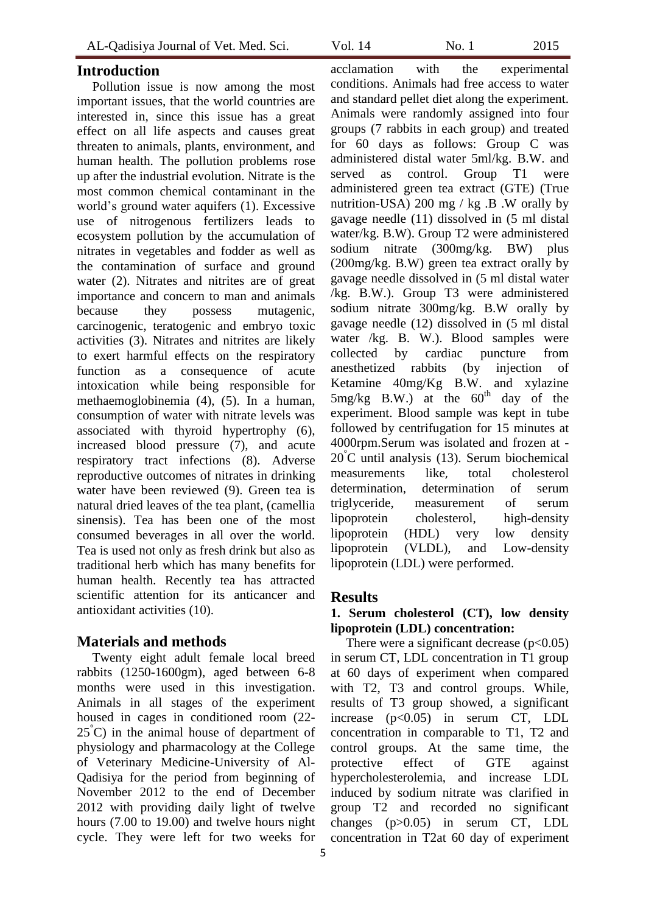### **Introduction**

Pollution issue is now among the most important issues, that the world countries are interested in, since this issue has a great effect on all life aspects and causes great threaten to animals, plants, environment, and human health. The pollution problems rose up after the industrial evolution. Nitrate is the most common chemical contaminant in the world's ground water aquifers (1). Excessive use of nitrogenous fertilizers leads to ecosystem pollution by the accumulation of nitrates in vegetables and fodder as well as the contamination of surface and ground water (2). Nitrates and nitrites are of great importance and concern to man and animals because they possess mutagenic, carcinogenic, teratogenic and embryo toxic activities (3). Nitrates and nitrites are likely to exert harmful effects on the respiratory function as a consequence of acute intoxication while being responsible for methaemoglobinemia (4), (5). In a human, consumption of water with nitrate levels was associated with thyroid hypertrophy (6), increased blood pressure (7), and acute respiratory tract infections (8). Adverse reproductive outcomes of nitrates in drinking water have been reviewed (9). Green tea is natural dried leaves of the tea plant, (camellia sinensis). Tea has been one of the most consumed beverages in all over the world. Tea is used not only as fresh drink but also as traditional herb which has many benefits for human health. Recently tea has attracted scientific attention for its anticancer and antioxidant activities (10).

# **Materials and methods**

Twenty eight adult female local breed rabbits (1250-1600gm), aged between 6-8 months were used in this investigation. Animals in all stages of the experiment housed in cages in conditioned room (22- 25**°**C) in the animal house of department of physiology and pharmacology at the College of Veterinary Medicine-University of Al-Qadisiya for the period from beginning of November 2012 to the end of December 2012 with providing daily light of twelve hours (7.00 to 19.00) and twelve hours night cycle. They were left for two weeks for

acclamation with the experimental conditions. Animals had free access to water and standard pellet diet along the experiment. Animals were randomly assigned into four groups (7 rabbits in each group) and treated for 60 days as follows: Group C was administered distal water 5ml/kg. B.W. and served as control. Group T1 were administered green tea extract (GTE) (True nutrition-USA) 200 mg / kg  $\cdot$ B  $\cdot$ W orally by gavage needle (11) dissolved in (5 ml distal water/kg. B.W). Group T2 were administered sodium nitrate (300mg/kg. BW) plus (200mg/kg. B.W) green tea extract orally by gavage needle dissolved in (5 ml distal water /kg. B.W.). Group T3 were administered sodium nitrate 300mg/kg. B.W orally by gavage needle (12) dissolved in (5 ml distal water /kg. B. W.). Blood samples were collected by cardiac puncture from anesthetized rabbits (by injection of Ketamine 40mg/Kg B.W. and xylazine  $5mg/kg$  B.W.) at the  $60^{th}$  day of the experiment. Blood sample was kept in tube followed by centrifugation for 15 minutes at 4000rpm.Serum was isolated and frozen at - 20°C until analysis (13). Serum biochemical measurements like, total cholesterol determination, determination of serum triglyceride, measurement of serum lipoprotein cholesterol, high-density lipoprotein (HDL) very low density lipoprotein (VLDL), and Low-density lipoprotein (LDL) were performed.

# **Results**

## **1. Serum cholesterol (CT), low density lipoprotein (LDL) concentration:**

There were a significant decrease  $(p<0.05)$ in serum CT, LDL concentration in T1 group at 60 days of experiment when compared with T2, T3 and control groups. While, results of T3 group showed, a significant increase (p<0.05) in serum CT, LDL concentration in comparable to T1, T2 and control groups. At the same time, the protective effect of GTE against hypercholesterolemia, and increase LDL induced by sodium nitrate was clarified in group T2 and recorded no significant changes (p>0.05) in serum CT, LDL concentration in T2at 60 day of experiment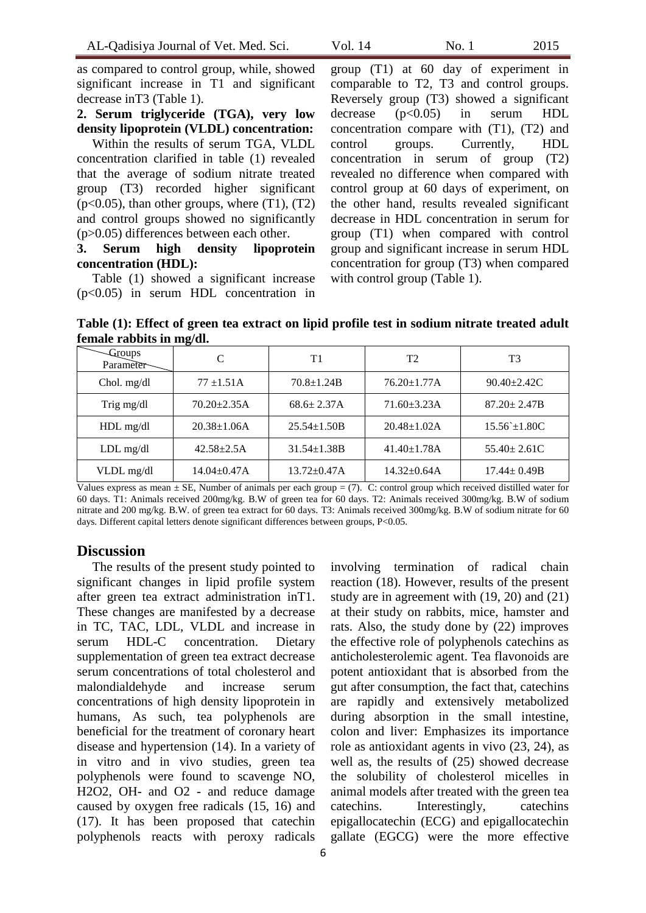as compared to control group, while, showed significant increase in T1 and significant decrease inT3 (Table 1).

**2. Serum triglyceride (TGA), very low density lipoprotein (VLDL) concentration:**

Within the results of serum TGA, VLDL concentration clarified in table (1) revealed that the average of sodium nitrate treated group (T3) recorded higher significant  $(p<0.05)$ , than other groups, where  $(T1)$ ,  $(T2)$ and control groups showed no significantly (p>0.05) differences between each other.

## **3. Serum high density lipoprotein concentration (HDL):**

Table (1) showed a significant increase (p<0.05) in serum HDL concentration in

group (T1) at 60 day of experiment in comparable to T2, T3 and control groups. Reversely group (T3) showed a significant decrease  $(p<0.05)$  in serum HDL concentration compare with (T1), (T2) and control groups. Currently, HDL concentration in serum of group (T2) revealed no difference when compared with control group at 60 days of experiment, on the other hand, results revealed significant decrease in HDL concentration in serum for group (T1) when compared with control group and significant increase in serum HDL concentration for group (T3) when compared with control group (Table 1).

**Table (1): Effect of green tea extract on lipid profile test in sodium nitrate treated adult female rabbits in mg/dl.**

| -Groups<br>Parameter |                    | T1                 | T2                 | T3                 |
|----------------------|--------------------|--------------------|--------------------|--------------------|
| Chol. mg/dl          | $77 \pm 1.51$ A    | $70.8 + 1.24B$     | $76.20 \pm 1.77$ A | $90.40 \pm 2.42$ C |
| Trig mg/dl           | $70.20 \pm 2.35$ A | $68.6 \pm 2.37$ A  | $71.60 \pm 3.23$ A | $87.20 \pm 2.47B$  |
| HDL mg/dl            | $20.38 \pm 1.06$ A | $25.54 \pm 1.50B$  | $20.48 \pm 1.02$ A | $15.56 \pm 1.80C$  |
| $LDL$ mg/dl          | $42.58 \pm 2.5A$   | $31.54 \pm 1.38B$  | $41.40 \pm 1.78$ A | $55.40 \pm 2.61$ C |
| VLDL mg/dl           | 14.04±0.47A        | $13.72 \pm 0.47$ A | $14.32 \pm 0.64$ A | $17.44 \pm 0.49B$  |

Values express as mean ± SE, Number of animals per each group = (7). C: control group which received distilled water for 60 days. T1: Animals received 200mg/kg. B.W of green tea for 60 days. T2: Animals received 300mg/kg. B.W of sodium nitrate and 200 mg/kg. B.W. of green tea extract for 60 days. T3: Animals received 300mg/kg. B.W of sodium nitrate for 60 days. Different capital letters denote significant differences between groups, P<0.05.

## **Discussion**

The results of the present study pointed to significant changes in lipid profile system after green tea extract administration inT1. These changes are manifested by a decrease in TC, TAC, LDL, VLDL and increase in serum HDL-C concentration. Dietary supplementation of green tea extract decrease serum concentrations of total cholesterol and malondialdehyde and increase serum concentrations of high density lipoprotein in humans, As such, tea polyphenols are beneficial for the treatment of coronary heart disease and hypertension (14). In a variety of in vitro and in vivo studies, green tea polyphenols were found to scavenge NO, H2O2, OH- and O2 - and reduce damage caused by oxygen free radicals (15, 16) and (17). It has been proposed that catechin polyphenols reacts with peroxy radicals

involving termination of radical chain reaction (18). However, results of the present study are in agreement with (19, 20) and (21) at their study on rabbits, mice, hamster and rats. Also, the study done by (22) improves the effective role of polyphenols catechins as anticholesterolemic agent. Tea flavonoids are potent antioxidant that is absorbed from the gut after consumption, the fact that, catechins are rapidly and extensively metabolized during absorption in the small intestine, colon and liver: Emphasizes its importance role as antioxidant agents in vivo (23, 24), as well as, the results of (25) showed decrease the solubility of cholesterol micelles in animal models after treated with the green tea catechins. Interestingly, catechins epigallocatechin (ECG) and epigallocatechin gallate (EGCG) were the more effective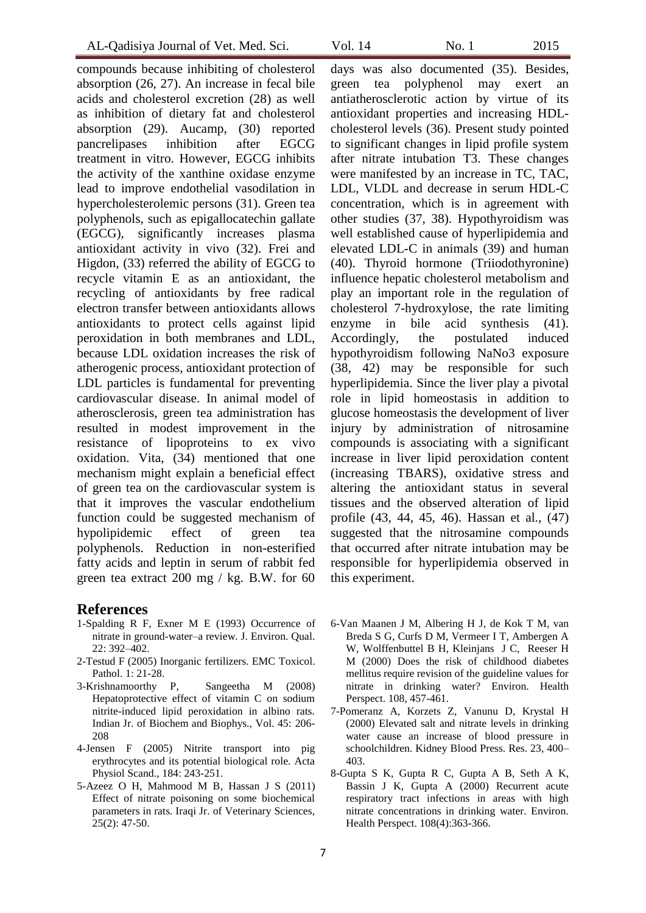compounds because inhibiting of cholesterol absorption (26, 27). An increase in fecal bile acids and cholesterol excretion (28) as well as inhibition of dietary fat and cholesterol absorption (29). Aucamp, (30) reported pancrelipases inhibition after EGCG treatment in vitro. However, EGCG inhibits the activity of the xanthine oxidase enzyme lead to improve endothelial vasodilation in hypercholesterolemic persons (31). Green tea polyphenols, such as epigallocatechin gallate (EGCG), significantly increases plasma antioxidant activity in vivo (32). Frei and Higdon, (33) referred the ability of EGCG to recycle vitamin E as an antioxidant, the recycling of antioxidants by free radical electron transfer between antioxidants allows antioxidants to protect cells against lipid peroxidation in both membranes and LDL, because LDL oxidation increases the risk of atherogenic process, antioxidant protection of LDL particles is fundamental for preventing cardiovascular disease. In animal model of atherosclerosis, green tea administration has resulted in modest improvement in the resistance of lipoproteins to ex vivo oxidation. Vita, (34) mentioned that one mechanism might explain a beneficial effect of green tea on the cardiovascular system is that it improves the vascular endothelium function could be suggested mechanism of hypolipidemic effect of green tea polyphenols. Reduction in non-esterified fatty acids and leptin in serum of rabbit fed green tea extract 200 mg / kg. B.W. for 60

#### **References**

- 1-Spalding R F, Exner M E (1993) Occurrence of nitrate in ground-water–a review. J. Environ. Qual. 22: 392–402.
- 2-Testud F (2005) Inorganic fertilizers. EMC Toxicol. Pathol. 1: 21-28.
- 3-Krishnamoorthy P, Sangeetha M (2008) Hepatoprotective effect of vitamin C on sodium nitrite-induced lipid peroxidation in albino rats. Indian Jr. of Biochem and Biophys., Vol. 45: 206- 208
- 4-Jensen F (2005) Nitrite transport into pig erythrocytes and its potential biological role. Acta Physiol Scand., 184: 243-251.
- 5-Azeez O H, Mahmood M B, Hassan J S (2011) Effect of nitrate poisoning on some biochemical parameters in rats. Iraqi Jr. of Veterinary Sciences, 25(2): 47-50.

days was also documented (35). Besides, green tea polyphenol may exert an antiatherosclerotic action by virtue of its antioxidant properties and increasing HDLcholesterol levels (36). Present study pointed to significant changes in lipid profile system after nitrate intubation T3. These changes were manifested by an increase in TC, TAC, LDL, VLDL and decrease in serum HDL-C concentration, which is in agreement with other studies (37, 38). Hypothyroidism was well established cause of hyperlipidemia and elevated LDL-C in animals (39) and human (40). Thyroid hormone (Triiodothyronine) influence hepatic cholesterol metabolism and play an important role in the regulation of cholesterol 7-hydroxylose, the rate limiting enzyme in bile acid synthesis (41). Accordingly, the postulated induced hypothyroidism following NaNo3 exposure (38, 42) may be responsible for such hyperlipidemia. Since the liver play a pivotal role in lipid homeostasis in addition to glucose homeostasis the development of liver injury by administration of nitrosamine compounds is associating with a significant increase in liver lipid peroxidation content (increasing TBARS), oxidative stress and altering the antioxidant status in several tissues and the observed alteration of lipid profile (43, 44, 45, 46). Hassan et al., (47) suggested that the nitrosamine compounds that occurred after nitrate intubation may be responsible for hyperlipidemia observed in this experiment.

- 6-Van Maanen J M, Albering H J, de Kok T M, van Breda S G, Curfs D M, Vermeer I T, Ambergen A W, Wolffenbuttel B H, Kleinians J C, Reeser H M (2000) Does the risk of childhood diabetes mellitus require revision of the guideline values for nitrate in drinking water? Environ. Health Perspect. 108, 457-461.
- 7-Pomeranz A, Korzets Z, Vanunu D, Krystal H (2000) Elevated salt and nitrate levels in drinking water cause an increase of blood pressure in schoolchildren. Kidney Blood Press. Res. 23, 400– 403.
- 8-Gupta S K, Gupta R C, Gupta A B, Seth A K, Bassin J K, Gupta A (2000) Recurrent acute respiratory tract infections in areas with high nitrate concentrations in drinking water. Environ. Health Perspect. 108(4):363-366.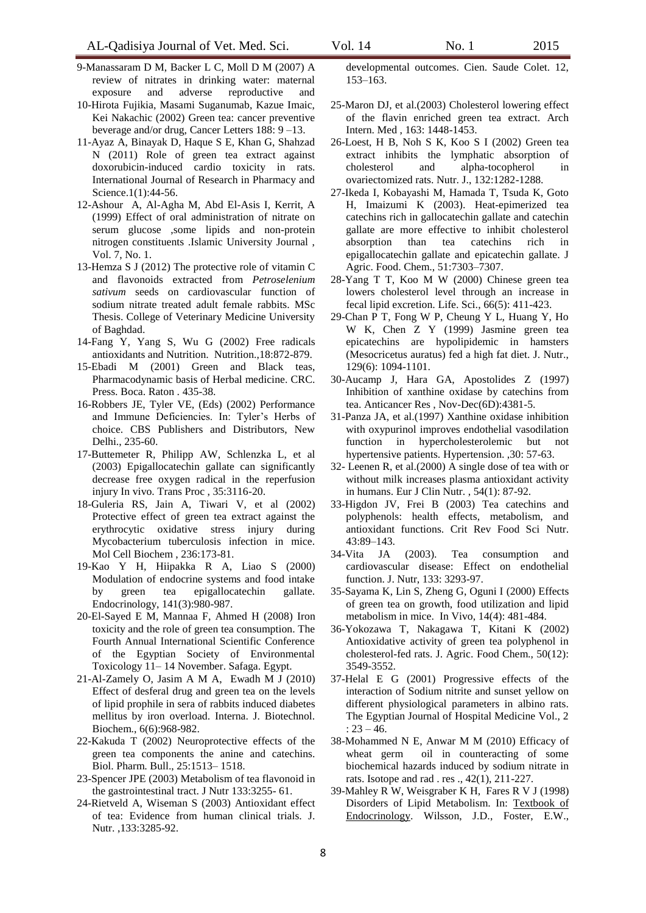- 9-Manassaram D M, Backer L C, Moll D M (2007) A review of nitrates in drinking water: maternal exposure and adverse reproductive and
- 10-Hirota Fujikia, Masami Suganumab, Kazue Imaic, Kei Nakachic (2002) Green tea: cancer preventive beverage and/or drug, Cancer Letters 188: 9 –13.
- 11-Ayaz A, Binayak D, Haque S E, Khan G, Shahzad N (2011) Role of green tea extract against doxorubicin-induced cardio toxicity in rats. International Journal of Research in Pharmacy and Science.1(1):44-56.
- 12-Ashour A, Al-Agha M, Abd El-Asis I, Kerrit, A (1999) Effect of oral administration of nitrate on serum glucose ,some lipids and non-protein nitrogen constituents .Islamic University Journal , Vol. 7, No. 1.
- 13-Hemza S J (2012) The protective role of vitamin C and flavonoids extracted from *Petroselenium sativum* seeds on cardiovascular function of sodium nitrate treated adult female rabbits. MSc Thesis. College of Veterinary Medicine University of Baghdad.
- 14-Fang Y, Yang S, Wu G (2002) Free radicals antioxidants and Nutrition. Nutrition.,18:872-879.
- 15-Ebadi M (2001) Green and Black teas, Pharmacodynamic basis of Herbal medicine. CRC. Press. Boca. Raton . 435-38.
- 16-Robbers JE, Tyler VE, (Eds) (2002) Performance and Immune Deficiencies. In: Tyler's Herbs of choice. CBS Publishers and Distributors, New Delhi., 235-60.
- 17-Buttemeter R, Philipp AW, Schlenzka L, et al (2003) Epigallocatechin gallate can significantly decrease free oxygen radical in the reperfusion injury In vivo. Trans Proc , 35:3116-20.
- 18-Guleria RS, Jain A, Tiwari V, et al (2002) Protective effect of green tea extract against the erythrocytic oxidative stress injury during Mycobacterium tuberculosis infection in mice. Mol Cell Biochem , 236:173-81.
- 19-Kao Y H, Hiipakka R A, Liao S (2000) Modulation of endocrine systems and food intake by green tea epigallocatechin gallate. Endocrinology, 141(3):980-987.
- 20-El-Sayed E M, Mannaa F, Ahmed H (2008) Iron toxicity and the role of green tea consumption. The Fourth Annual International Scientific Conference of the Egyptian Society of Environmental Toxicology 11– 14 November. Safaga. Egypt.
- 21-Al-Zamely O, Jasim A M A, Ewadh M J (2010) Effect of desferal drug and green tea on the levels of lipid prophile in sera of rabbits induced diabetes mellitus by iron overload. Interna. J. Biotechnol. Biochem., 6(6):968-982.
- 22-Kakuda T (2002) Neuroprotective effects of the green tea components the anine and catechins. Biol. Pharm. Bull., 25:1513– 1518.
- 23-Spencer JPE (2003) Metabolism of tea flavonoid in the gastrointestinal tract. J Nutr 133:3255- 61.
- 24-Rietveld A, Wiseman S (2003) Antioxidant effect of tea: Evidence from human clinical trials. J. Nutr. ,133:3285-92.

developmental outcomes. Cien. Saude Colet. 12, 153–163.

- 25-Maron DJ, et al.(2003) Cholesterol lowering effect of the flavin enriched green tea extract. Arch Intern. Med , 163: 1448-1453.
- 26-Loest, H B, Noh S K, Koo S I (2002) Green tea extract inhibits the lymphatic absorption of cholesterol and alpha-tocopherol in ovariectomized rats. Nutr. J., 132:1282-1288.
- 27-Ikeda I, Kobayashi M, Hamada T, Tsuda K, Goto H, Imaizumi K (2003). Heat-epimerized tea catechins rich in gallocatechin gallate and catechin gallate are more effective to inhibit cholesterol absorption than tea catechins rich in epigallocatechin gallate and epicatechin gallate. J Agric. Food. Chem., 51:7303–7307.
- 28-Yang T T, Koo M W (2000) Chinese green tea lowers cholesterol level through an increase in fecal lipid excretion. Life. Sci., 66(5): 411-423.
- 29-Chan P T, Fong W P, Cheung Y L, Huang Y, Ho W K, Chen Z Y (1999) Jasmine green tea epicatechins are hypolipidemic in hamsters (Mesocricetus auratus) fed a high fat diet. J. Nutr., 129(6): 1094-1101.
- 30-Aucamp J, Hara GA, Apostolides Z (1997) Inhibition of xanthine oxidase by catechins from tea. Anticancer Res , Nov-Dec(6D):4381-5.
- 31-Panza JA, et al.(1997) Xanthine oxidase inhibition with oxypurinol improves endothelial vasodilation function in hypercholesterolemic but not hypertensive patients. Hypertension. ,30: 57-63.
- 32- Leenen R, et al.(2000) A single dose of tea with or without milk increases plasma antioxidant activity in humans. Eur J Clin Nutr. , 54(1): 87-92.
- 33-Higdon JV, Frei B (2003) Tea catechins and polyphenols: health effects, metabolism, and antioxidant functions. Crit Rev Food Sci Nutr. 43:89–143.
- 34-Vita JA (2003). Tea consumption and cardiovascular disease: Effect on endothelial function. J. Nutr, 133: 3293-97.
- 35-Sayama K, Lin S, Zheng G, Oguni I (2000) Effects of green tea on growth, food utilization and lipid metabolism in mice. In Vivo, 14(4): 481-484.
- 36-Yokozawa T, Nakagawa T, Kitani K (2002) Antioxidative activity of green tea polyphenol in cholesterol-fed rats. J. Agric. Food Chem., 50(12): 3549-3552.
- 37-Helal E G (2001) Progressive effects of the interaction of Sodium nitrite and sunset yellow on different physiological parameters in albino rats. The Egyptian Journal of Hospital Medicine Vol., 2 :  $23 - 46$ .
- 38-Mohammed N E, Anwar M M (2010) Efficacy of wheat germ oil in counteracting of some biochemical hazards induced by sodium nitrate in rats. Isotope and rad . res ., 42(1), 211-227.
- 39-Mahley R W, Weisgraber K H, Fares R V J (1998) Disorders of Lipid Metabolism. In: Textbook of Endocrinology. Wilsson, J.D., Foster, E.W.,